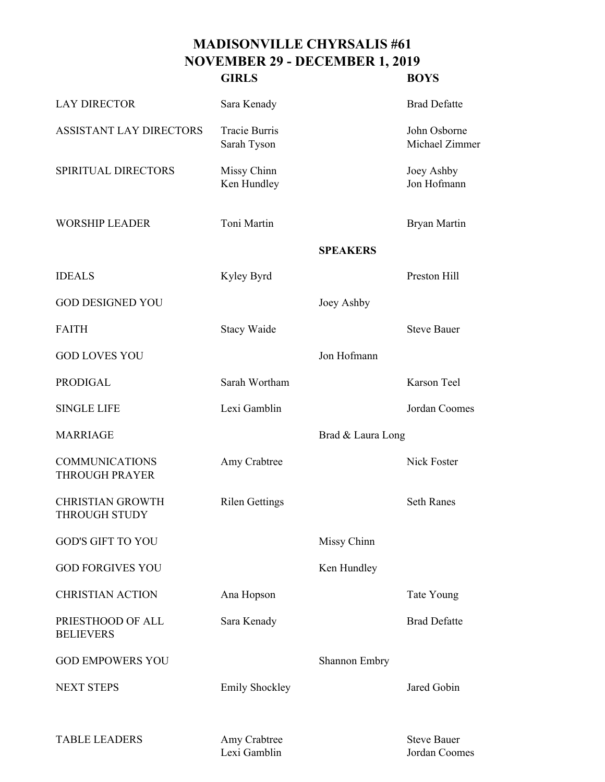## **MADISONVILLE CHYRSALIS #61 NOVEMBER 29 - DECEMBER 1, 2019 GIRLS BOYS**

| <b>LAY DIRECTOR</b>                             | Sara Kenady                         |                   | <b>Brad Defatte</b>            |
|-------------------------------------------------|-------------------------------------|-------------------|--------------------------------|
| ASSISTANT LAY DIRECTORS                         | <b>Tracie Burris</b><br>Sarah Tyson |                   | John Osborne<br>Michael Zimmer |
| SPIRITUAL DIRECTORS                             | Missy Chinn<br>Ken Hundley          |                   | Joey Ashby<br>Jon Hofmann      |
| <b>WORSHIP LEADER</b>                           | Toni Martin                         |                   | Bryan Martin                   |
|                                                 |                                     | <b>SPEAKERS</b>   |                                |
| <b>IDEALS</b>                                   | Kyley Byrd                          |                   | Preston Hill                   |
| <b>GOD DESIGNED YOU</b>                         |                                     | Joey Ashby        |                                |
| <b>FAITH</b>                                    | <b>Stacy Waide</b>                  |                   | <b>Steve Bauer</b>             |
| <b>GOD LOVES YOU</b>                            |                                     | Jon Hofmann       |                                |
| <b>PRODIGAL</b>                                 | Sarah Wortham                       |                   | <b>Karson Teel</b>             |
| <b>SINGLE LIFE</b>                              | Lexi Gamblin                        |                   | Jordan Coomes                  |
| <b>MARRIAGE</b>                                 |                                     | Brad & Laura Long |                                |
| <b>COMMUNICATIONS</b><br><b>THROUGH PRAYER</b>  | Amy Crabtree                        |                   | Nick Foster                    |
| <b>CHRISTIAN GROWTH</b><br><b>THROUGH STUDY</b> | <b>Rilen Gettings</b>               |                   | <b>Seth Ranes</b>              |
| <b>GOD'S GIFT TO YOU</b>                        |                                     | Missy Chinn       |                                |
| <b>GOD FORGIVES YOU</b>                         |                                     | Ken Hundley       |                                |
| <b>CHRISTIAN ACTION</b>                         | Ana Hopson                          |                   | Tate Young                     |
| PRIESTHOOD OF ALL<br><b>BELIEVERS</b>           | Sara Kenady                         |                   | <b>Brad Defatte</b>            |
| <b>GOD EMPOWERS YOU</b>                         |                                     | Shannon Embry     |                                |
| <b>NEXT STEPS</b>                               | <b>Emily Shockley</b>               |                   | Jared Gobin                    |
| <b>TABLE LEADERS</b>                            | Amy Crabtree                        |                   | <b>Steve Bauer</b>             |

Lexi Gamblin Jordan Coomes